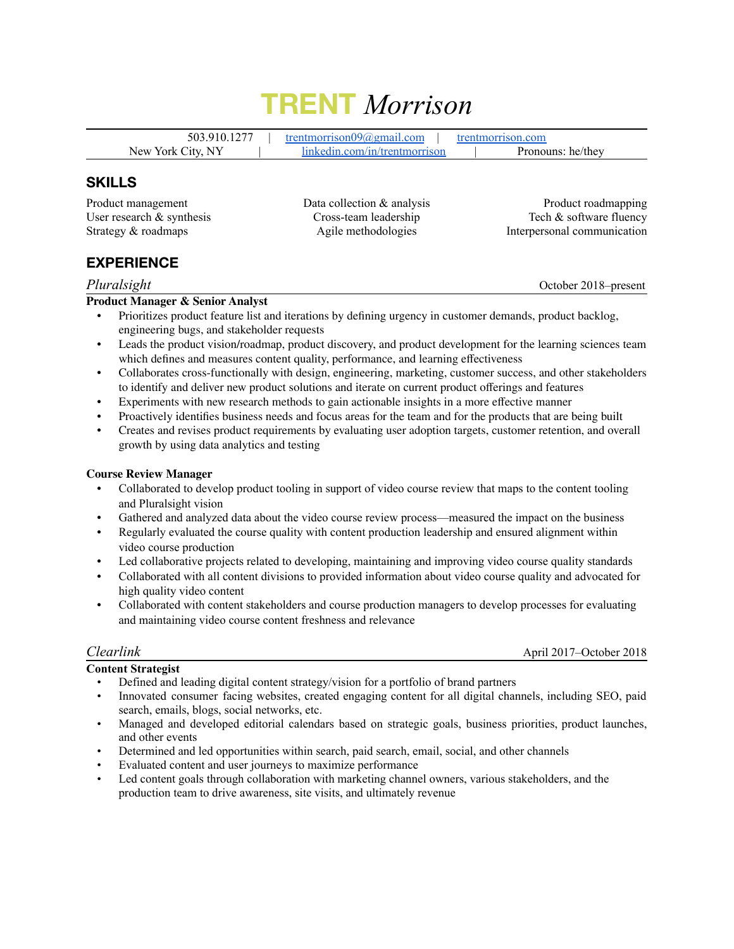# **TRENT** *Morrison*

503.910.1277 | [trentmorrison09@gmail.com](mailto:trentmorrison09@gmail.com) | [trentmorrison.com](http://trentmorrison.com) New York City, NY | [linkedin.com/in/trentmorrison](http://linkedin.com/in/trentmorrison) | Pronouns: he/they

## **SKILLS**

Product management User research & synthesis Strategy & roadmaps

Data collection & analysis Cross-team leadership Agile methodologies

Product roadmapping Tech & software fluency Interpersonal communication

# **EXPERIENCE**

### *Pluralsight* October 2018–present

### **Product Manager & Senior Analyst**

- Prioritizes product feature list and iterations by defining urgency in customer demands, product backlog, engineering bugs, and stakeholder requests
- Leads the product vision/roadmap, product discovery, and product development for the learning sciences team which defines and measures content quality, performance, and learning effectiveness
- Collaborates cross-functionally with design, engineering, marketing, customer success, and other stakeholders to identify and deliver new product solutions and iterate on current product offerings and features
- Experiments with new research methods to gain actionable insights in a more effective manner
- Proactively identifies business needs and focus areas for the team and for the products that are being built
- Creates and revises product requirements by evaluating user adoption targets, customer retention, and overall growth by using data analytics and testing

### **Course Review Manager**

- Collaborated to develop product tooling in support of video course review that maps to the content tooling and Pluralsight vision
- Gathered and analyzed data about the video course review process—measured the impact on the business
- Regularly evaluated the course quality with content production leadership and ensured alignment within video course production
- Led collaborative projects related to developing, maintaining and improving video course quality standards
- Collaborated with all content divisions to provided information about video course quality and advocated for high quality video content
- Collaborated with content stakeholders and course production managers to develop processes for evaluating and maintaining video course content freshness and relevance

**Content Strategist**

*Clearlink* April 2017–October 2018

- Defined and leading digital content strategy/vision for a portfolio of brand partners
- Innovated consumer facing websites, created engaging content for all digital channels, including SEO, paid search, emails, blogs, social networks, etc.
- Managed and developed editorial calendars based on strategic goals, business priorities, product launches, and other events
- Determined and led opportunities within search, paid search, email, social, and other channels
- Evaluated content and user journeys to maximize performance
- Led content goals through collaboration with marketing channel owners, various stakeholders, and the production team to drive awareness, site visits, and ultimately revenue